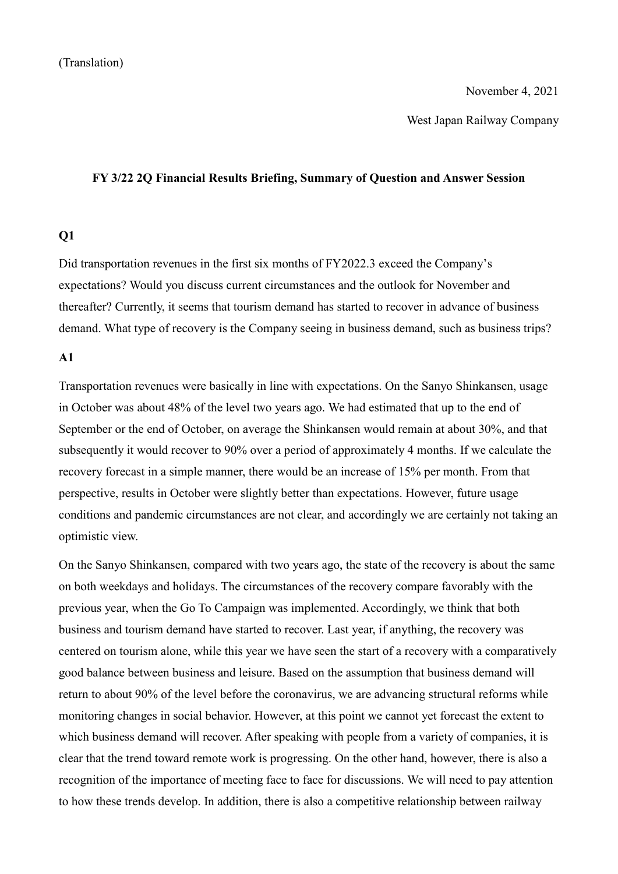#### November 4, 2021

West Japan Railway Company

#### **FY 3/22 2Q Financial Results Briefing, Summary of Question and Answer Session**

### **Q1**

Did transportation revenues in the first six months of FY2022.3 exceed the Company's expectations? Would you discuss current circumstances and the outlook for November and thereafter? Currently, it seems that tourism demand has started to recover in advance of business demand. What type of recovery is the Company seeing in business demand, such as business trips?

## **A1**

Transportation revenues were basically in line with expectations. On the Sanyo Shinkansen, usage in October was about 48% of the level two years ago. We had estimated that up to the end of September or the end of October, on average the Shinkansen would remain at about 30%, and that subsequently it would recover to 90% over a period of approximately 4 months. If we calculate the recovery forecast in a simple manner, there would be an increase of 15% per month. From that perspective, results in October were slightly better than expectations. However, future usage conditions and pandemic circumstances are not clear, and accordingly we are certainly not taking an optimistic view.

On the Sanyo Shinkansen, compared with two years ago, the state of the recovery is about the same on both weekdays and holidays. The circumstances of the recovery compare favorably with the previous year, when the Go To Campaign was implemented. Accordingly, we think that both business and tourism demand have started to recover. Last year, if anything, the recovery was centered on tourism alone, while this year we have seen the start of a recovery with a comparatively good balance between business and leisure. Based on the assumption that business demand will return to about 90% of the level before the coronavirus, we are advancing structural reforms while monitoring changes in social behavior. However, at this point we cannot yet forecast the extent to which business demand will recover. After speaking with people from a variety of companies, it is clear that the trend toward remote work is progressing. On the other hand, however, there is also a recognition of the importance of meeting face to face for discussions. We will need to pay attention to how these trends develop. In addition, there is also a competitive relationship between railway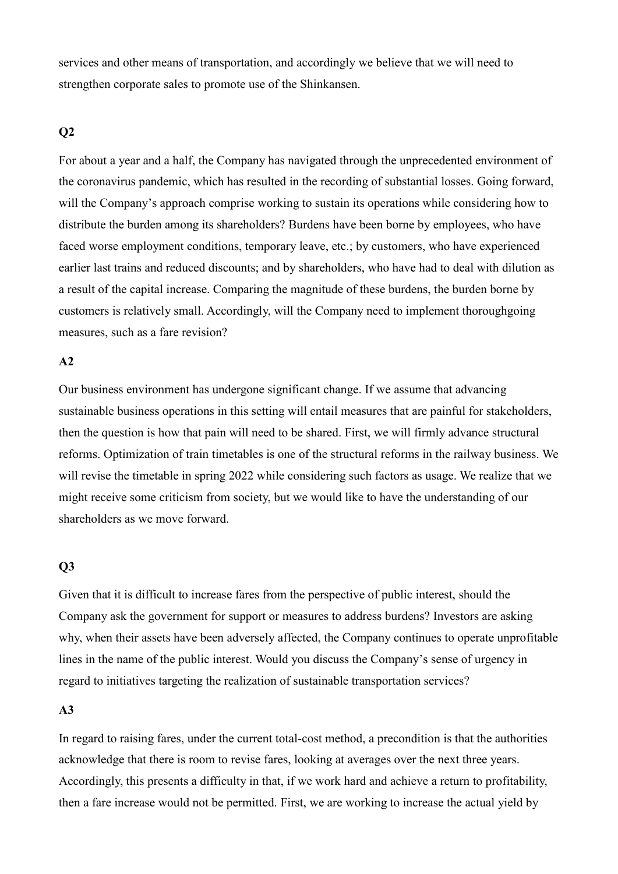services and other means of transportation, and accordingly we believe that we will need to strengthen corporate sales to promote use of the Shinkansen.

## **Q2**

For about a year and a half, the Company has navigated through the unprecedented environment of the coronavirus pandemic, which has resulted in the recording of substantial losses. Going forward, will the Company's approach comprise working to sustain its operations while considering how to distribute the burden among its shareholders? Burdens have been borne by employees, who have faced worse employment conditions, temporary leave, etc.; by customers, who have experienced earlier last trains and reduced discounts; and by shareholders, who have had to deal with dilution as a result of the capital increase. Comparing the magnitude of these burdens, the burden borne by customers is relatively small. Accordingly, will the Company need to implement thoroughgoing measures, such as a fare revision?

# **A2**

Our business environment has undergone significant change. If we assume that advancing sustainable business operations in this setting will entail measures that are painful for stakeholders, then the question is how that pain will need to be shared. First, we will firmly advance structural reforms. Optimization of train timetables is one of the structural reforms in the railway business. We will revise the timetable in spring 2022 while considering such factors as usage. We realize that we might receive some criticism from society, but we would like to have the understanding of our shareholders as we move forward.

## **Q3**

Given that it is difficult to increase fares from the perspective of public interest, should the Company ask the government for support or measures to address burdens? Investors are asking why, when their assets have been adversely affected, the Company continues to operate unprofitable lines in the name of the public interest. Would you discuss the Company's sense of urgency in regard to initiatives targeting the realization of sustainable transportation services?

### **A3**

In regard to raising fares, under the current total-cost method, a precondition is that the authorities acknowledge that there is room to revise fares, looking at averages over the next three years. Accordingly, this presents a difficulty in that, if we work hard and achieve a return to profitability, then a fare increase would not be permitted. First, we are working to increase the actual yield by